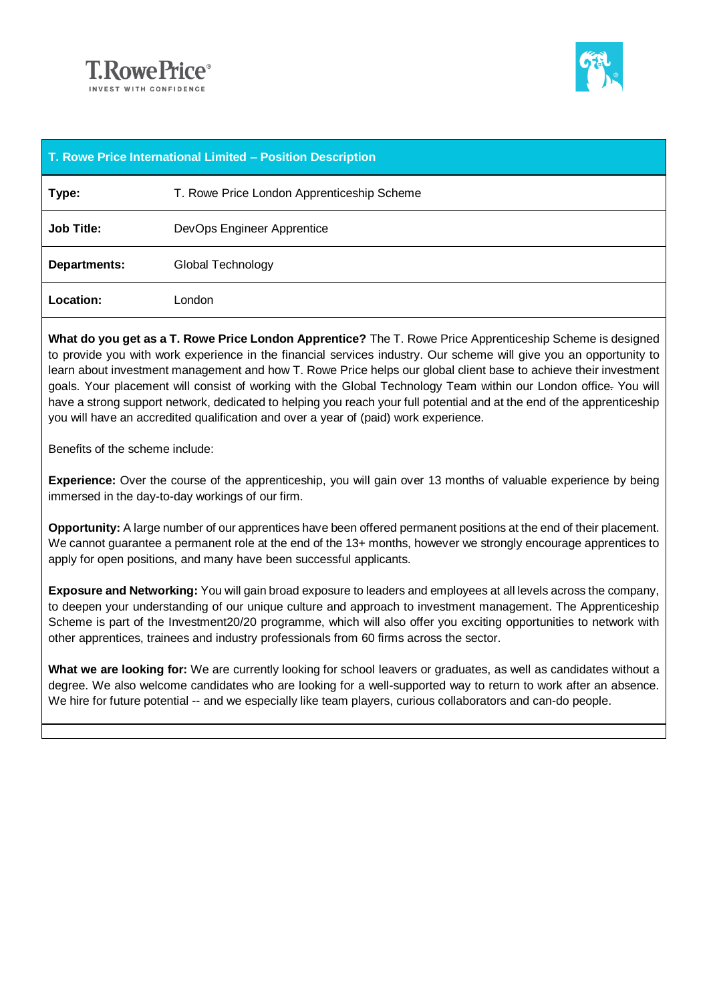



| T. Rowe Price International Limited - Position Description |                                            |
|------------------------------------------------------------|--------------------------------------------|
| Type:                                                      | T. Rowe Price London Apprenticeship Scheme |
| <b>Job Title:</b>                                          | DevOps Engineer Apprentice                 |
| <b>Departments:</b>                                        | Global Technology                          |
| <b>Location:</b>                                           | London                                     |

**What do you get as a T. Rowe Price London Apprentice?** The T. Rowe Price Apprenticeship Scheme is designed to provide you with work experience in the financial services industry. Our scheme will give you an opportunity to learn about investment management and how T. Rowe Price helps our global client base to achieve their investment goals. Your placement will consist of working with the Global Technology Team within our London office. You will have a strong support network, dedicated to helping you reach your full potential and at the end of the apprenticeship you will have an accredited qualification and over a year of (paid) work experience.

Benefits of the scheme include:

**Experience:** Over the course of the apprenticeship, you will gain over 13 months of valuable experience by being immersed in the day-to-day workings of our firm.

**Opportunity:** A large number of our apprentices have been offered permanent positions at the end of their placement. We cannot quarantee a permanent role at the end of the 13+ months, however we strongly encourage apprentices to apply for open positions, and many have been successful applicants.

**Exposure and Networking:** You will gain broad exposure to leaders and employees at all levels across the company, to deepen your understanding of our unique culture and approach to investment management. The Apprenticeship Scheme is part of the Investment20/20 programme, which will also offer you exciting opportunities to network with other apprentices, trainees and industry professionals from 60 firms across the sector.

**What we are looking for:** We are currently looking for school leavers or graduates, as well as candidates without a degree. We also welcome candidates who are looking for a well-supported way to return to work after an absence. We hire for future potential -- and we especially like team players, curious collaborators and can-do people.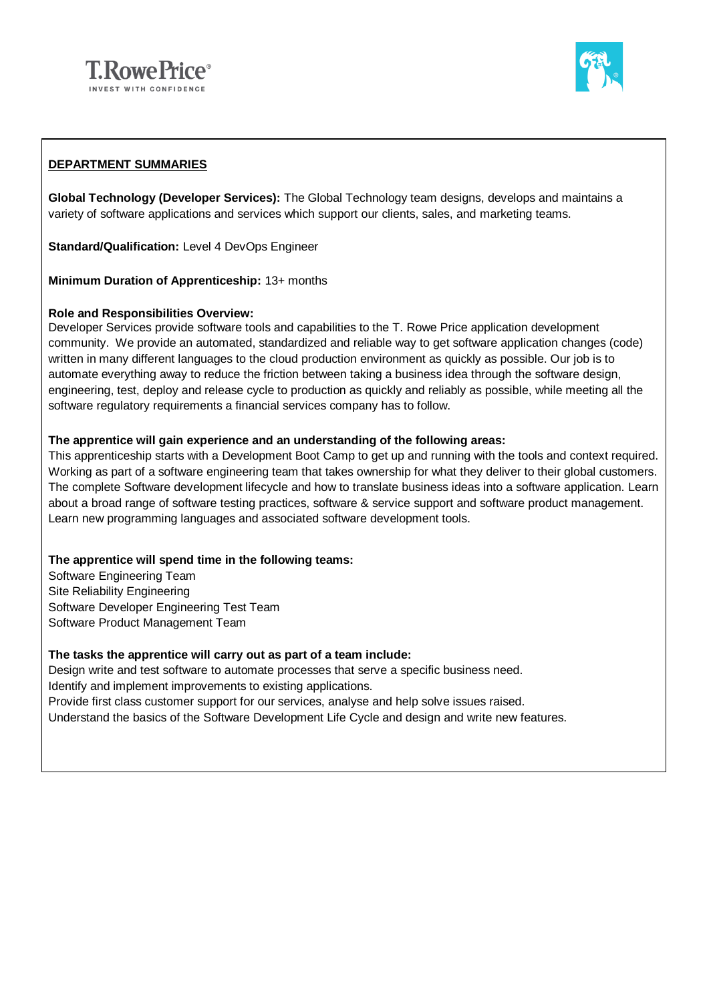



## **DEPARTMENT SUMMARIES**

**Global Technology (Developer Services):** The Global Technology team designs, develops and maintains a variety of software applications and services which support our clients, sales, and marketing teams.

**Standard/Qualification: Level 4 DevOps Engineer** 

**Minimum Duration of Apprenticeship:** 13+ months

### **Role and Responsibilities Overview:**

Developer Services provide software tools and capabilities to the T. Rowe Price application development community. We provide an automated, standardized and reliable way to get software application changes (code) written in many different languages to the cloud production environment as quickly as possible. Our job is to automate everything away to reduce the friction between taking a business idea through the software design, engineering, test, deploy and release cycle to production as quickly and reliably as possible, while meeting all the software regulatory requirements a financial services company has to follow.

### **The apprentice will gain experience and an understanding of the following areas:**

This apprenticeship starts with a Development Boot Camp to get up and running with the tools and context required. Working as part of a software engineering team that takes ownership for what they deliver to their global customers. The complete Software development lifecycle and how to translate business ideas into a software application. Learn about a broad range of software testing practices, software & service support and software product management. Learn new programming languages and associated software development tools.

### **The apprentice will spend time in the following teams:**

Software Engineering Team Site Reliability Engineering Software Developer Engineering Test Team Software Product Management Team

#### **The tasks the apprentice will carry out as part of a team include:**

Design write and test software to automate processes that serve a specific business need. Identify and implement improvements to existing applications. Provide first class customer support for our services, analyse and help solve issues raised. Understand the basics of the Software Development Life Cycle and design and write new features.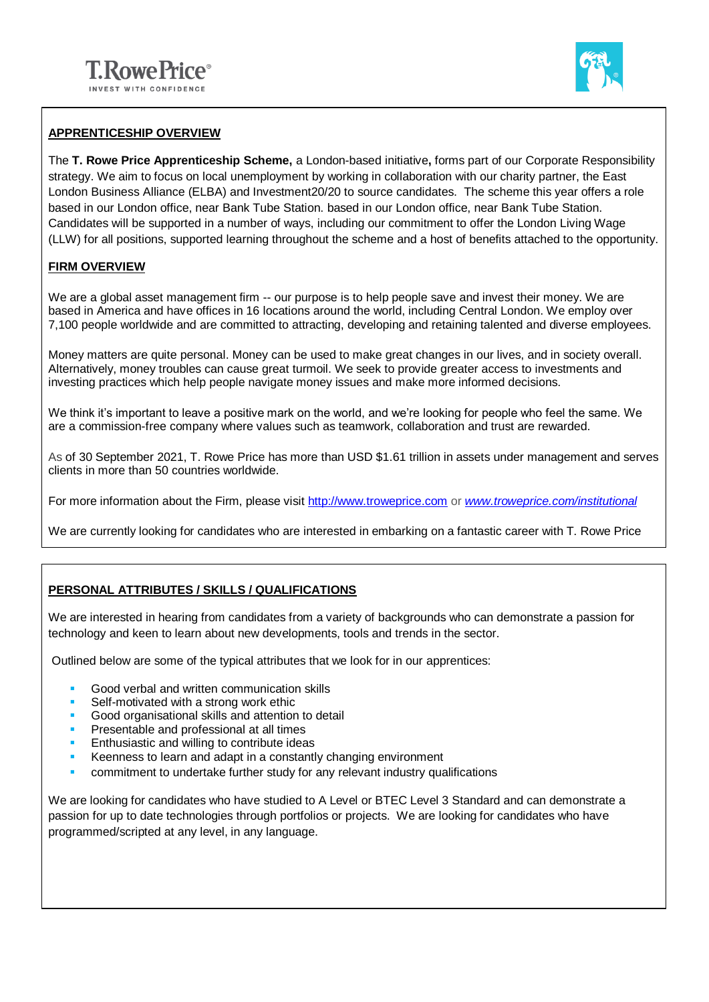

## **APPRENTICESHIP OVERVIEW**

The **T. Rowe Price Apprenticeship Scheme,** a London-based initiative**,** forms part of our Corporate Responsibility strategy. We aim to focus on local unemployment by working in collaboration with our charity partner, the East London Business Alliance (ELBA) and Investment20/20 to source candidates. The scheme this year offers a role based in our London office, near Bank Tube Station. based in our London office, near Bank Tube Station. Candidates will be supported in a number of ways, including our commitment to offer the London Living Wage (LLW) for all positions, supported learning throughout the scheme and a host of benefits attached to the opportunity.

## **FIRM OVERVIEW**

We are a global asset management firm -- our purpose is to help people save and invest their money. We are based in America and have offices in 16 locations around the world, including Central London. We employ over 7,100 people worldwide and are committed to attracting, developing and retaining talented and diverse employees.

Money matters are quite personal. Money can be used to make great changes in our lives, and in society overall. Alternatively, money troubles can cause great turmoil. We seek to provide greater access to investments and investing practices which help people navigate money issues and make more informed decisions.

We think it's important to leave a positive mark on the world, and we're looking for people who feel the same. We are a commission-free company where values such as teamwork, collaboration and trust are rewarded.

As of 30 September 2021, T. Rowe Price has more than USD \$1.61 trillion in assets under management and serves clients in more than 50 countries worldwide.

For more information about the Firm, please visit [http://www.troweprice.com](http://www.troweprice.com/) or *[www.troweprice.com/institutional](http://www.troweprice.com/institutional)*

We are currently looking for candidates who are interested in embarking on a fantastic career with T. Rowe Price

# **PERSONAL ATTRIBUTES / SKILLS / QUALIFICATIONS**

We are interested in hearing from candidates from a variety of backgrounds who can demonstrate a passion for technology and keen to learn about new developments, tools and trends in the sector.

Outlined below are some of the typical attributes that we look for in our apprentices:

- Good verbal and written communication skills
- Self-motivated with a strong work ethic
- Good organisational skills and attention to detail
- Presentable and professional at all times
- Enthusiastic and willing to contribute ideas
- Keenness to learn and adapt in a constantly changing environment
- **•** commitment to undertake further study for any relevant industry qualifications

We are looking for candidates who have studied to A Level or BTEC Level 3 Standard and can demonstrate a passion for up to date technologies through portfolios or projects. We are looking for candidates who have programmed/scripted at any level, in any language.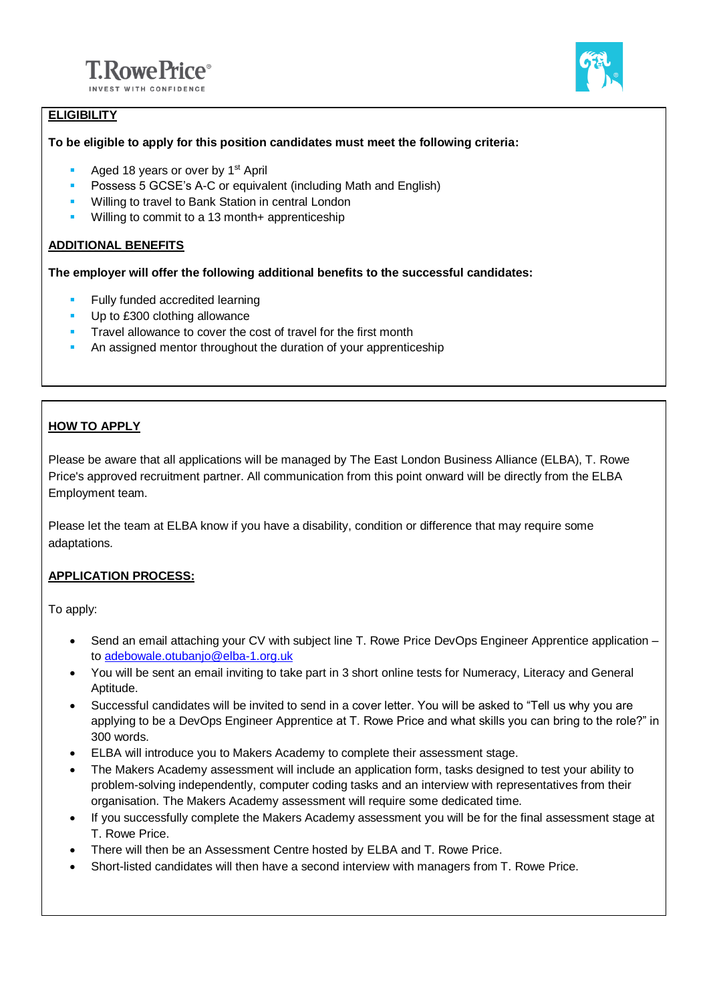



# **ELIGIBILITY**

### **To be eligible to apply for this position candidates must meet the following criteria:**

- **Aged 18 years or over by 1st April**
- Possess 5 GCSE's A-C or equivalent (including Math and English)
- Willing to travel to Bank Station in central London
- Willing to commit to a 13 month+ apprenticeship

## **ADDITIONAL BENEFITS**

**The employer will offer the following additional benefits to the successful candidates:**

- **Fully funded accredited learning**
- Up to £300 clothing allowance
- **Travel allowance to cover the cost of travel for the first month**
- **An assigned mentor throughout the duration of your apprenticeship**

## **HOW TO APPLY**

Please be aware that all applications will be managed by The East London Business Alliance (ELBA), T. Rowe Price's approved recruitment partner. All communication from this point onward will be directly from the ELBA Employment team.

Please let the team at ELBA know if you have a disability, condition or difference that may require some adaptations.

### **APPLICATION PROCESS:**

To apply:

- Send an email attaching your CV with subject line T. Rowe Price DevOps Engineer Apprentice application to [adebowale.otubanjo@elba-1.org.uk](mailto:adebowale.otubanjo@elba-1.org.uk)
- You will be sent an email inviting to take part in 3 short online tests for Numeracy, Literacy and General Aptitude.
- Successful candidates will be invited to send in a cover letter. You will be asked to "Tell us why you are applying to be a DevOps Engineer Apprentice at T. Rowe Price and what skills you can bring to the role?" in 300 words.
- ELBA will introduce you to Makers Academy to complete their assessment stage.
- The Makers Academy assessment will include an application form, tasks designed to test your ability to problem-solving independently, computer coding tasks and an interview with representatives from their organisation. The Makers Academy assessment will require some dedicated time.
- If you successfully complete the Makers Academy assessment you will be for the final assessment stage at T. Rowe Price.
- There will then be an Assessment Centre hosted by ELBA and T. Rowe Price.
- Short-listed candidates will then have a second interview with managers from T. Rowe Price.